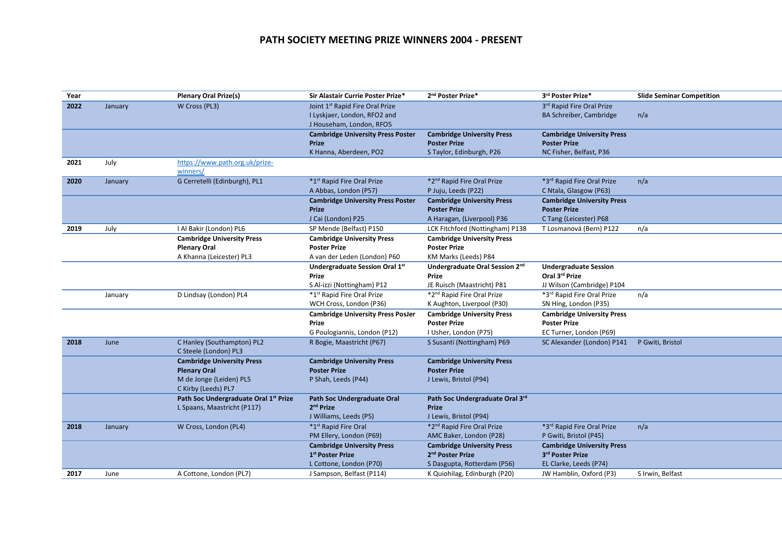## **PATH SOCIETY MEETING PRIZE WINNERS 2004 - PRESENT**

| Year |         | <b>Plenary Oral Prize(s)</b>                        | Sir Alastair Currie Poster Prize*                        | 2 <sup>nd</sup> Poster Prize*          | 3rd Poster Prize*                 | <b>Slide Seminar Competition</b> |
|------|---------|-----------------------------------------------------|----------------------------------------------------------|----------------------------------------|-----------------------------------|----------------------------------|
| 2022 | January | W Cross (PL3)                                       | Joint 1 <sup>st</sup> Rapid Fire Oral Prize              |                                        | 3rd Rapid Fire Oral Prize         |                                  |
|      |         |                                                     | I Lyskjaer, London, RFO2 and<br>J Househam, London, RFO5 |                                        | BA Schreiber, Cambridge           | n/a                              |
|      |         |                                                     | <b>Cambridge University Press Poster</b>                 | <b>Cambridge University Press</b>      | <b>Cambridge University Press</b> |                                  |
|      |         |                                                     | Prize                                                    | <b>Poster Prize</b>                    | <b>Poster Prize</b>               |                                  |
|      |         |                                                     | K Hanna, Aberdeen, PO2                                   | S Taylor, Edinburgh, P26               | NC Fisher, Belfast, P36           |                                  |
| 2021 | July    | https://www.path.org.uk/prize-                      |                                                          |                                        |                                   |                                  |
|      |         | winners/                                            |                                                          |                                        |                                   |                                  |
| 2020 | January | G Cerretelli (Edinburgh), PL1                       | *1st Rapid Fire Oral Prize                               | *2nd Rapid Fire Oral Prize             | *3rd Rapid Fire Oral Prize        | n/a                              |
|      |         |                                                     | A Abbas, London (P57)                                    | P Juju, Leeds (P22)                    | C Ntala, Glasgow (P63)            |                                  |
|      |         |                                                     | <b>Cambridge University Press Poster</b>                 | <b>Cambridge University Press</b>      | <b>Cambridge University Press</b> |                                  |
|      |         |                                                     | <b>Prize</b>                                             | <b>Poster Prize</b>                    | <b>Poster Prize</b>               |                                  |
|      |         |                                                     | J Cai (London) P25                                       | A Haragan, (Liverpool) P36             | C Tang (Leicester) P68            |                                  |
| 2019 | July    | I Al Bakir (London) PL6                             | SP Mende (Belfast) P150                                  | LCK Fitchford (Nottingham) P138        | T Losmanová (Bern) P122           | n/a                              |
|      |         | <b>Cambridge University Press</b>                   | <b>Cambridge University Press</b>                        | <b>Cambridge University Press</b>      |                                   |                                  |
|      |         | <b>Plenary Oral</b>                                 | <b>Poster Prize</b>                                      | <b>Poster Prize</b>                    |                                   |                                  |
|      |         | A Khanna (Leicester) PL3                            | A van der Leden (London) P60                             | KM Marks (Leeds) P84                   |                                   |                                  |
|      |         |                                                     | Undergraduate Session Oral 1st                           | Undergraduate Oral Session 2nd         | <b>Undergraduate Session</b>      |                                  |
|      |         |                                                     | Prize                                                    | Prize                                  | Oral 3rd Prize                    |                                  |
|      |         |                                                     | S Al-izzi (Nottingham) P12                               | JE Ruisch (Maastricht) P81             | JJ Wilson (Cambridge) P104        |                                  |
|      | January | D Lindsay (London) PL4                              | *1st Rapid Fire Oral Prize                               | *2 <sup>nd</sup> Rapid Fire Oral Prize | *3rd Rapid Fire Oral Prize        | n/a                              |
|      |         |                                                     | WCH Cross, London (P36)                                  | K Aughton, Liverpool (P30)             | SN Hing, London (P35)             |                                  |
|      |         |                                                     | <b>Cambridge University Press PosJer</b>                 | <b>Cambridge University Press</b>      | <b>Cambridge University Press</b> |                                  |
|      |         |                                                     | Prize                                                    | <b>Poster Prize</b>                    | <b>Poster Prize</b>               |                                  |
|      |         |                                                     | G Poulogiannis, London (P12)                             | I Usher, London (P75)                  | EC Turner, London (P69)           |                                  |
| 2018 | June    | C Hanley (Southampton) PL2<br>C Steele (London) PL3 | R Bogie, Maastricht (P67)                                | S Susanti (Nottingham) P69             | SC Alexander (London) P141        | P Gwiti, Bristol                 |
|      |         | <b>Cambridge University Press</b>                   | <b>Cambridge University Press</b>                        | <b>Cambridge University Press</b>      |                                   |                                  |
|      |         | <b>Plenary Oral</b>                                 | <b>Poster Prize</b>                                      | <b>Poster Prize</b>                    |                                   |                                  |
|      |         | M de Jonge (Leiden) PL5                             | P Shah, Leeds (P44)                                      | J Lewis, Bristol (P94)                 |                                   |                                  |
|      |         | C Kirby (Leeds) PL7                                 |                                                          |                                        |                                   |                                  |
|      |         | Path Soc Undergraduate Oral 1st Prize               | Path Soc Undergraduate Oral                              | Path Soc Undergraduate Oral 3rd        |                                   |                                  |
|      |         | L Spaans, Maastricht (P117)                         | 2 <sup>nd</sup> Prize                                    | <b>Prize</b>                           |                                   |                                  |
|      |         |                                                     | J Williams, Leeds (P5)                                   | J Lewis, Bristol (P94)                 |                                   |                                  |
| 2018 | January | W Cross, London (PL4)                               | *1st Rapid Fire Oral                                     | *2nd Rapid Fire Oral Prize             | *3rd Rapid Fire Oral Prize        | n/a                              |
|      |         |                                                     | PM Ellery, London (P69)                                  | AMC Baker, London (P28)                | P Gwiti, Bristol (P45)            |                                  |
|      |         |                                                     | <b>Cambridge University Press</b>                        | <b>Cambridge University Press</b>      | <b>Cambridge University Press</b> |                                  |
|      |         |                                                     | 1 <sup>st</sup> Poster Prize                             | 2 <sup>nd</sup> Poster Prize           | 3rd Poster Prize                  |                                  |
|      |         |                                                     | L Cottone, London (P70)                                  | S Dasgupta, Rotterdam (P56)            | EL Clarke, Leeds (P74)            |                                  |
| 2017 | June    | A Cottone, London (PL7)                             | J Sampson, Belfast (P114)                                | K Quiohilag, Edinburgh (P20)           | JW Hamblin, Oxford (P3)           | S Irwin, Belfast                 |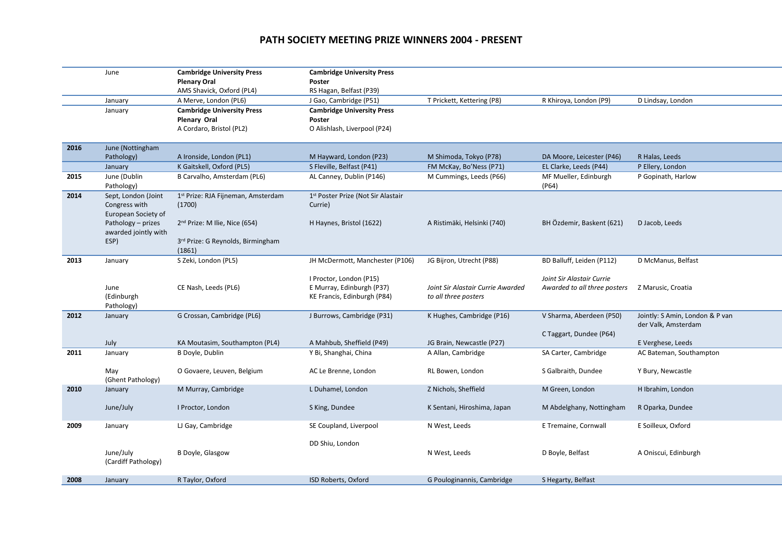## **PATH SOCIETY MEETING PRIZE WINNERS 2004 - PRESENT**

|      | June                 | <b>Cambridge University Press</b>              | <b>Cambridge University Press</b>              |                                   |                              |                                 |
|------|----------------------|------------------------------------------------|------------------------------------------------|-----------------------------------|------------------------------|---------------------------------|
|      |                      | <b>Plenary Oral</b>                            | Poster                                         |                                   |                              |                                 |
|      |                      | AMS Shavick, Oxford (PL4)                      | RS Hagan, Belfast (P39)                        |                                   |                              |                                 |
|      | January              | A Merve, London (PL6)                          | J Gao, Cambridge (P51)                         | T Prickett, Kettering (P8)        | R Khiroya, London (P9)       | D Lindsay, London               |
|      | January              | <b>Cambridge University Press</b>              | <b>Cambridge University Press</b>              |                                   |                              |                                 |
|      |                      | <b>Plenary Oral</b>                            | Poster                                         |                                   |                              |                                 |
|      |                      | A Cordaro, Bristol (PL2)                       | O Alishlash, Liverpool (P24)                   |                                   |                              |                                 |
|      |                      |                                                |                                                |                                   |                              |                                 |
| 2016 | June (Nottingham     |                                                |                                                |                                   |                              |                                 |
|      | Pathology)           | A Ironside, London (PL1)                       | M Hayward, London (P23)                        | M Shimoda, Tokyo (P78)            | DA Moore, Leicester (P46)    | R Halas, Leeds                  |
|      | January              | K Gaitskell, Oxford (PL5)                      | S Fleville, Belfast (P41)                      | FM McKay, Bo'Ness (P71)           | EL Clarke, Leeds (P44)       | P Ellery, London                |
| 2015 | June (Dublin         | B Carvalho, Amsterdam (PL6)                    | AL Canney, Dublin (P146)                       | M Cummings, Leeds (P66)           | MF Mueller, Edinburgh        | P Gopinath, Harlow              |
|      | Pathology)           |                                                |                                                |                                   | (P64)                        |                                 |
| 2014 | Sept, London (Joint  | 1 <sup>st</sup> Prize: RJA Fijneman, Amsterdam | 1 <sup>st</sup> Poster Prize (Not Sir Alastair |                                   |                              |                                 |
|      | Congress with        | (1700)                                         | Currie)                                        |                                   |                              |                                 |
|      | European Society of  |                                                |                                                |                                   |                              |                                 |
|      | Pathology - prizes   | $2nd$ Prize: M Ilie, Nice (654)                | H Haynes, Bristol (1622)                       | A Ristimäki, Helsinki (740)       | BH Özdemir, Baskent (621)    | D Jacob, Leeds                  |
|      | awarded jointly with |                                                |                                                |                                   |                              |                                 |
|      | ESP)                 | 3 <sup>rd</sup> Prize: G Reynolds, Birmingham  |                                                |                                   |                              |                                 |
|      |                      | (1861)                                         |                                                |                                   |                              |                                 |
| 2013 | January              | S Zeki, London (PL5)                           | JH McDermott, Manchester (P106)                | JG Bijron, Utrecht (P88)          | BD Balluff, Leiden (P112)    | D McManus, Belfast              |
|      |                      |                                                |                                                |                                   |                              |                                 |
|      |                      |                                                | I Proctor, London (P15)                        |                                   | Joint Sir Alastair Currie    |                                 |
|      | June                 | CE Nash, Leeds (PL6)                           | E Murray, Edinburgh (P37)                      | Joint Sir Alastair Currie Awarded | Awarded to all three posters | Z Marusic, Croatia              |
|      | (Edinburgh           |                                                | KE Francis, Edinburgh (P84)                    | to all three posters              |                              |                                 |
|      | Pathology)           |                                                |                                                |                                   |                              |                                 |
| 2012 | January              | G Crossan, Cambridge (PL6)                     | J Burrows, Cambridge (P31)                     | K Hughes, Cambridge (P16)         | V Sharma, Aberdeen (P50)     | Jointly: S Amin, London & P van |
|      |                      |                                                |                                                |                                   |                              | der Valk, Amsterdam             |
|      |                      |                                                |                                                |                                   | C Taggart, Dundee (P64)      |                                 |
|      | July                 | KA Moutasim, Southampton (PL4)                 | A Mahbub, Sheffield (P49)                      | JG Brain, Newcastle (P27)         |                              | E Verghese, Leeds               |
| 2011 | January              | B Doyle, Dublin                                | Y Bi, Shanghai, China                          | A Allan, Cambridge                | SA Carter, Cambridge         | AC Bateman, Southampton         |
|      |                      |                                                |                                                |                                   |                              |                                 |
|      | May                  | O Govaere, Leuven, Belgium                     | AC Le Brenne, London                           | RL Bowen, London                  | S Galbraith, Dundee          | Y Bury, Newcastle               |
|      | (Ghent Pathology)    |                                                |                                                |                                   |                              |                                 |
| 2010 | January              | M Murray, Cambridge                            | L Duhamel, London                              | Z Nichols, Sheffield              | M Green, London              | H Ibrahim, London               |
|      |                      |                                                |                                                |                                   |                              |                                 |
|      | June/July            | I Proctor, London                              | S King, Dundee                                 | K Sentani, Hiroshima, Japan       | M Abdelghany, Nottingham     | R Oparka, Dundee                |
|      |                      |                                                |                                                |                                   |                              |                                 |
| 2009 | January              | LJ Gay, Cambridge                              | SE Coupland, Liverpool                         | N West, Leeds                     | E Tremaine, Cornwall         | E Soilleux, Oxford              |
|      |                      |                                                |                                                |                                   |                              |                                 |
|      |                      |                                                | DD Shiu, London                                |                                   |                              |                                 |
|      | June/July            | B Doyle, Glasgow                               |                                                | N West, Leeds                     | D Boyle, Belfast             | A Oniscui, Edinburgh            |
|      | (Cardiff Pathology)  |                                                |                                                |                                   |                              |                                 |
|      |                      |                                                |                                                |                                   |                              |                                 |
| 2008 | January              | R Taylor, Oxford                               | ISD Roberts, Oxford                            | G Pouloginannis, Cambridge        | S Hegarty, Belfast           |                                 |
|      |                      |                                                |                                                |                                   |                              |                                 |